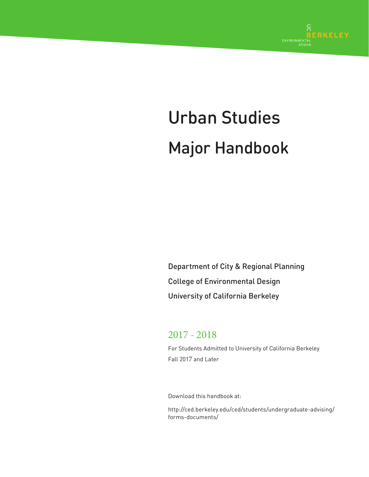

# Urban Studies Major Handbook

Department of City & Regional Planning College of Environmental Design University of California Berkeley

# 2017 - 2018

For Students Admitted to University of California Berkeley Fall 2017 and Later

Download this handbook at:

http://ced.berkeley.edu/ced/students/undergraduate-advising/ forms-documents/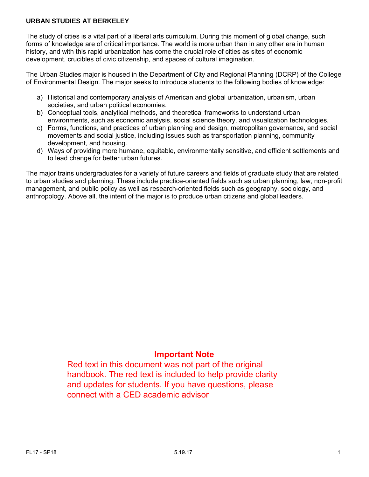# **URBAN STUDIES AT BERKELEY**

The study of cities is a vital part of a liberal arts curriculum. During this moment of global change, such forms of knowledge are of critical importance. The world is more urban than in any other era in human history, and with this rapid urbanization has come the crucial role of cities as sites of economic development, crucibles of civic citizenship, and spaces of cultural imagination.

The Urban Studies major is housed in the Department of City and Regional Planning (DCRP) of the College of Environmental Design. The major seeks to introduce students to the following bodies of knowledge:

- a) Historical and contemporary analysis of American and global urbanization, urbanism, urban societies, and urban political economies.
- b) Conceptual tools, analytical methods, and theoretical frameworks to understand urban environments, such as economic analysis, social science theory, and visualization technologies.
- c) Forms, functions, and practices of urban planning and design, metropolitan governance, and social movements and social justice, including issues such as transportation planning, community development, and housing.
- d) Ways of providing more humane, equitable, environmentally sensitive, and efficient settlements and to lead change for better urban futures.

The major trains undergraduates for a variety of future careers and fields of graduate study that are related to urban studies and planning. These include practice-oriented fields such as urban planning, law, non-profit management, and public policy as well as research-oriented fields such as geography, sociology, and anthropology. Above all, the intent of the major is to produce urban citizens and global leaders.

# **Important Note**

Red text in this document was not part of the original handbook. The red text is included to help provide clarity and updates for students. If you have questions, please connect with a CED academic advisor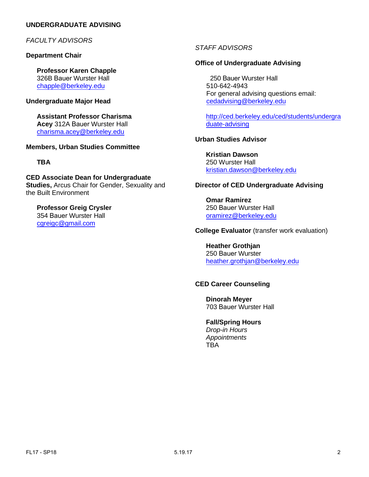# **UNDERGRADUATE ADVISING**

# **FACULTY ADVISORS**

#### **Department Chair**

**Professor Karen Chapple**  326B Bauer Wurster Hall [chapple@berkeley.edu](mailto:jcorburn@berkeley.edu)

#### **Undergraduate Major Head**

**Assistant Professor Charisma Acey** 312A Bauer Wurster Hall [charisma.acey@berkele](mailto:jcorburn@berkeley.edu)y.edu

#### **Members, Urban Studies Committee**

#### **[TBA](mailto:lifchez@berkeley.edu)**

**CED Associate Dean for Undergraduate Studies,** Arcus Chair for Gender, Sexuality and the Built Environment

#### **Professor [Greig Crysl](mailto:rychow@berkeley.edu)er**  354 Bauer Wurster Hall

cgreigc@gmail.com

# *STAFF ADVISORS*

### **Office of Undergraduate Advising**

 250 Bauer Wurster Hall [510-642-4943](http://ced.berkeley.edu/ced/students/undergraduate-advising) For general advising questions email: cedadvising@berkeley.edu

http://ced.berkeley.edu/ced/students/undergra duate-advising

# **Urban Studies Advisor**

**[Kristian Dawson](mailto:oramirez@berkeley.edu)** 250 Wurster Hall kristian.dawson@berkeley.edu

#### **Director of CED Undergraduate Advising**

**Omar Ramirez**  250 Bauer Wurster Hall [oramirez@berkeley.edu](mailto:hagstrom@berkeley.edu)

# **College Evaluator** (transfer work evaluation)

**Heather Grothjan**  250 Bauer Wurster heather.grothjan@berkeley.edu

#### **CED Career Counseling**

**Dinorah Meyer**  703 Bauer Wurster Hall

#### **Fall/Spring Hours**

*Drop-in Hours Appointments*  **TRA**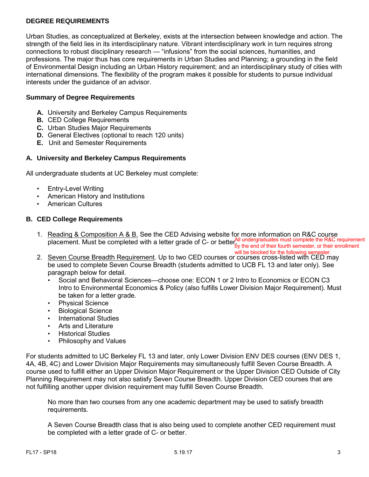# **DEGREE REQUIREMENTS**

Urban Studies, as conceptualized at Berkeley, exists at the intersection between knowledge and action. The strength of the field lies in its interdisciplinary nature. Vibrant interdisciplinary work in turn requires strong connections to robust disciplinary research — "infusions" from the social sciences, humanities, and professions. The major thus has core requirements in Urban Studies and Planning; a grounding in the field of Environmental Design including an Urban History requirement; and an interdisciplinary study of cities with international dimensions. The flexibility of the program makes it possible for students to pursue individual interests under the guidance of an advisor.

# **Summary of Degree Requirements**

- **A.** University and Berkeley Campus Requirements
- **B.** CED College Requirements
- **C.** Urban Studies Major Requirements
- **D.** General Electives (optional to reach 120 units)
- **E.** Unit and Semester Requirements

#### **A. University and Berkeley Campus Requirements**

All undergraduate students at UC Berkeley must complete:

- Entry-Level Writing
- American History and Institutions
- American Cultures

#### **B. CED College Requirements**

1. Reading & Composition A & B. See the CED Advising website for more information on R&C course placement. Must be completed with a letter grade of C- or better<mark>All undergraduates must complete the R&C requirement</mark><br>By the end of their somester, or their enrollment

2. Seven Course Breadth Requirement. Up to two CED courses or courses cross-listed with CED may be used to complete Seven Course Breadth (students admitted to UCB FL 13 and later only). See paragraph below for detail. will be blocked for the following semester.

- Social and Behavioral Sciences—choose one: ECON 1 or 2 Intro to Economics or ECON C3 Intro to Environmental Economics & Policy (also fulfills Lower Division Major Requirement). Must be taken for a letter grade.
- Physical Science
- Biological Science
- International Studies
- Arts and Literature
- Historical Studies
- Philosophy and Values

For students admitted to UC Berkeley FL 13 and later, only Lower Division ENV DES courses (ENV DES 1, 4A, 4B, 4C) and Lower Division Major Requirements may simultaneously fulfill Seven Course Breadth. A course used to fulfill either an Upper Division Major Requirement or the Upper Division CED Outside of City Planning Requirement may not also satisfy Seven Course Breadth. Upper Division CED courses that are not fulfilling another upper division requirement may fulfill Seven Course Breadth.

No more than two courses from any one academic department may be used to satisfy breadth requirements.

A Seven Course Breadth class that is also being used to complete another CED requirement must be completed with a letter grade of C- or better.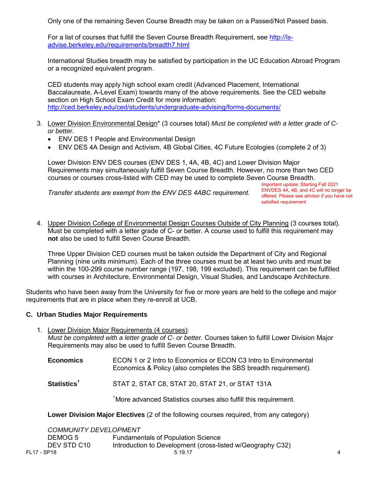Only one of the remaining Seven Course Breadth may be taken on a Passed/Not Passed basis.

For a list of courses that fulfill the Seven Course Breadth Requirement, see [http://ls](http://ls-advise.berkeley.edu/requirements/breadth7.html)[advise.berkeley.edu/requirements/breadth7.html](http://ls-advise.berkeley.edu/requirements/breadth7.html)

International Studies breadth may be satisfied by participation in the UC Education Abroad Program or a recognized equivalent program.

CED students may apply high school exam credit (Advanced Placement, International Baccalaureate, A-Level Exam) towards many of the above requirements. See the CED website section on High School Exam Credit for more information: <http://ced.berkeley.edu/ced/students/undergraduate-advising/forms-documents/>

- 3. Lower Division Environmental Design\* (3 courses total) *Must be completed with a letter grade of Cor better.*
	- ENV DES 1 People and Environmental Design
	- ENV DES 4A Design and Activism, 4B Global Cities, 4C Future Ecologies (complete 2 of 3)

Lower Division ENV DES courses (ENV DES 1, 4A, 4B, 4C) and Lower Division Major Requirements may simultaneously fulfill Seven Course Breadth. However, no more than two CED courses or courses cross-listed with CED may be used to complete Seven Course Breadth.

*Transfer students are exempt from the ENV DES 4ABC requirement.* 

Important update: Starting Fall 2021 ENVDES 4A, 4B, and 4C will no longer be offered. Please see advisor if you have not satisfied requirement

4. Upper Division College of Environmental Design Courses Outside of City Planning (3 courses total). Must be completed with a letter grade of C- or better. A course used to fulfill this requirement may **not** also be used to fulfill Seven Course Breadth.

Three Upper Division CED courses must be taken outside the Department of City and Regional Planning (nine units minimum). Each of the three courses must be at least two units and must be within the 100-299 course number range (197, 198, 199 excluded). This requirement can be fulfilled with courses in Architecture, Environmental Design, Visual Studies, and Landscape Architecture.

Students who have been away from the University for five or more years are held to the college and major requirements that are in place when they re-enroll at UCB.

#### **C. Urban Studies Major Requirements**

- 1. Lower Division Major Requirements (4 courses): *Must be completed with a letter grade of C- or better.* Courses taken to fulfill Lower Division Major Requirements may also be used to fulfill Seven Course Breadth.
	- **Economics** ECON 1 or 2 Intro to Economics or ECON C3 Intro to Environmental Economics & Policy (also completes the SBS breadth requirement).
	- **Statistics**† STAT 2, STAT C8, STAT 20, STAT 21, or STAT 131A

† More advanced Statistics courses also fulfill this requirement.

**Lower Division Major Electives** (2 of the following courses required, from any category)

| <b>COMMUNITY DEVELOPMENT</b> |                                                            |                        |
|------------------------------|------------------------------------------------------------|------------------------|
| DEMOG 5                      | <b>Fundamentals of Population Science</b>                  |                        |
| DEV STD C10                  | Introduction to Development (cross-listed w/Geography C32) |                        |
| FL17 - SP18                  | 5.19.17                                                    | $\boldsymbol{\Lambda}$ |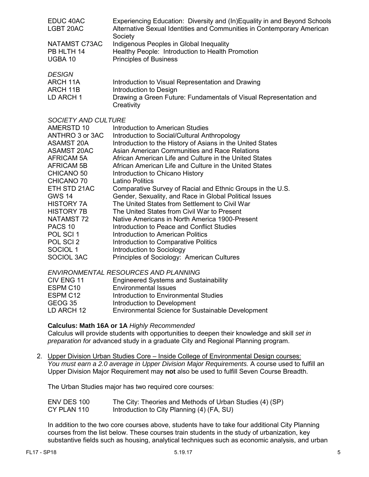| EDUC 40AC     | Experiencing Education: Diversity and (In)Equality in and Beyond Schools          |
|---------------|-----------------------------------------------------------------------------------|
| LGBT 20AC     | Alternative Sexual Identities and Communities in Contemporary American<br>Society |
| NATAMST C73AC | Indigenous Peoples in Global Inequality                                           |
| PB HLTH 14    | Healthy People: Introduction to Health Promotion                                  |
| UGBA 10       | <b>Principles of Business</b>                                                     |
| <b>DESIGN</b> |                                                                                   |
| ARCH 11A      | Introduction to Visual Representation and Drawing                                 |
|               |                                                                                   |

- ARCH 11B Introduction to Design
- LD ARCH 1 Drawing a Green Future: Fundamentals of Visual Representation and **Creativity**

#### *SOCIETY AND CULTURE*

| AMERSTD 10          | Introduction to American Studies                           |
|---------------------|------------------------------------------------------------|
| ANTHRO 3 or 3AC     | Introduction to Social/Cultural Anthropology               |
| ASAMST 20A          | Introduction to the History of Asians in the United States |
| ASAMST 20AC         | Asian American Communities and Race Relations              |
| AFRICAM 5A          | African American Life and Culture in the United States     |
| AFRICAM 5B          | African American Life and Culture in the United States     |
| CHICANO 50          | Introduction to Chicano History                            |
| CHICANO 70          | Latino Politics                                            |
| ETH STD 21AC        | Comparative Survey of Racial and Ethnic Groups in the U.S. |
| <b>GWS 14</b>       | Gender, Sexuality, and Race in Global Political Issues     |
| <b>HISTORY 7A</b>   | The United States from Settlement to Civil War             |
| <b>HISTORY 7B</b>   | The United States from Civil War to Present                |
| NATAMST 72          | Native Americans in North America 1900-Present             |
| PACS <sub>10</sub>  | Introduction to Peace and Conflict Studies                 |
| POL SCI 1           | Introduction to American Politics                          |
| POL SCI 2           | Introduction to Comparative Politics                       |
| SOCIOL <sub>1</sub> | Introduction to Sociology                                  |
| SOCIOL 3AC          | Principles of Sociology: American Cultures                 |

*ENVIRONMENTAL RESOURCES AND PLANNING* 

| CIV ENG 11           | <b>Engineered Systems and Sustainability</b>      |
|----------------------|---------------------------------------------------|
| ESPM C <sub>10</sub> | <b>Environmental Issues</b>                       |
| ESPM C12             | Introduction to Environmental Studies             |
| GEOG 35              | Introduction to Development                       |
| LD ARCH 12           | Environmental Science for Sustainable Development |

# **Calculus: Math 16A or 1A** *Highly Recommended*

Calculus will provide students with opportunities to deepen their knowledge and skill *set in preparation for* advanced study in a graduate City and Regional Planning program.

2. Upper Division Urban Studies Core – Inside College of Environmental Design courses: *You must earn a 2.0 average in Upper Division Major Requirements.* A course used to fulfill an Upper Division Major Requirement may **not** also be used to fulfill Seven Course Breadth.

The Urban Studies major has two required core courses:

| ENV DES 100 | The City: Theories and Methods of Urban Studies (4) (SP) |
|-------------|----------------------------------------------------------|
| CY PLAN 110 | Introduction to City Planning (4) (FA, SU)               |

In addition to the two core courses above, students have to take four additional City Planning courses from the list below. These courses train students in the study of urbanization, key substantive fields such as housing, analytical techniques such as economic analysis, and urban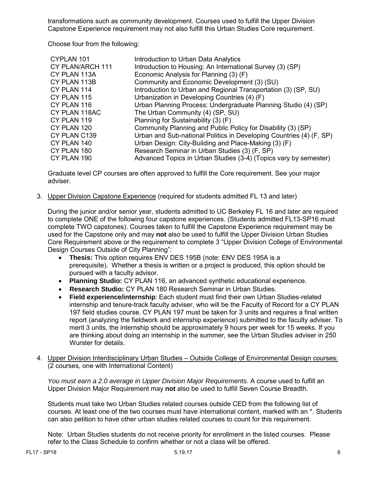transformations such as community development. Courses used to fulfill the Upper Division Capstone Experience requirement may not also fulfill this Urban Studies Core requirement.

Choose four from the following:

| CYPLAN 101       | Introduction to Urban Data Analytics                                |
|------------------|---------------------------------------------------------------------|
| CY PLAN/ARCH 111 | Introduction to Housing: An International Survey (3) (SP)           |
| CY PLAN 113A     | Economic Analysis for Planning (3) (F)                              |
| CY PLAN 113B     | Community and Economic Development (3) (SU)                         |
| CY PLAN 114      | Introduction to Urban and Regional Transportation (3) (SP, SU)      |
| CY PLAN 115      | Urbanization in Developing Countries (4) (F)                        |
| CY PLAN 116      | Urban Planning Process: Undergraduate Planning Studio (4) (SP)      |
| CY PLAN 118AC    | The Urban Community (4) (SP, SU)                                    |
| CY PLAN 119      | Planning for Sustainability (3) (F)                                 |
| CY PLAN 120      | Community Planning and Public Policy for Disability (3) (SP)        |
| CY PLAN C139     | Urban and Sub-national Politics in Developing Countries (4) (F, SP) |
| CY PLAN 140      | Urban Design: City-Building and Place-Making (3) (F)                |
| CY PLAN 180      | Research Seminar in Urban Studies (3) (F, SP)                       |
| CY PLAN 190      | Advanced Topics in Urban Studies (3-4) (Topics vary by semester)    |

Graduate level CP courses are often approved to fulfill the Core requirement. See your major adviser.

3. Upper Division Capstone Experience (required for students admitted FL 13 and later)

During the junior and/or senior year, students admitted to UC Berkeley FL 16 and later are required to complete ONE of the following four capstone experiences. (Students admitted FL13-SP16 must complete TWO capstones). Courses taken to fulfill the Capstone Experience requirement may be used for the Capstone only and may **not** also be used to fulfill the Upper Division Urban Studies Core Requirement above or the requirement to complete 3 "Upper Division College of Environmental Design Courses Outside of City Planning":

- **Thesis:** This option requires ENV DES 195B (note: ENV DES 195A is a prerequisite). Whether a thesis is written or a project is produced, this option should be pursued with a faculty advisor.
- **Planning Studio:** CY PLAN 116, an advanced synthetic educational experience.
- **Research Studio:** CY PLAN 180 Research Seminar in Urban Studies.
- **Field experience/internship**: Each student must find their own Urban Studies-related internship and tenure-track faculty adviser, who will be the Faculty of Record for a CY PLAN 197 field studies course. CY PLAN 197 must be taken for 3 units and requires a final written report (analyzing the fieldwork and internship experience) submitted to the faculty adviser. To merit 3 units, the internship should be approximately 9 hours per week for 15 weeks. If you are thinking about doing an internship in the summer, see the Urban Studies adviser in 250 Wurster for details.
- 4. Upper Division Interdisciplinary Urban Studies Outside College of Environmental Design courses: (2 courses, one with International Content)

*You must earn a 2.0 average in Upper Division Major Requirements.* A course used to fulfill an Upper Division Major Requirement may **not** also be used to fulfill Seven Course Breadth.

Students must take two Urban Studies related courses outside CED from the following list of courses. At least one of the two courses must have international content, marked with an \*. Students can also petition to have other urban studies related courses to count for this requirement.

Note: Urban Studies students do not receive priority for enrollment in the listed courses. Please refer to the Class Schedule to confirm whether or not a class will be offered.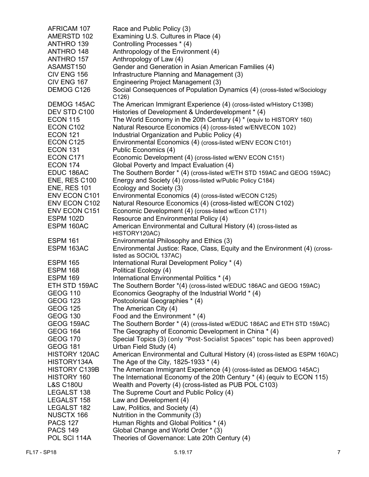| AFRICAM 107          | Race and Public Policy (3)                                                   |
|----------------------|------------------------------------------------------------------------------|
| AMERSTD 102          | Examining U.S. Cultures in Place (4)                                         |
| ANTHRO 139           | Controlling Processes * (4)                                                  |
| ANTHRO 148           | Anthropology of the Environment (4)                                          |
| ANTHRO 157           | Anthropology of Law (4)                                                      |
| ASAMST150            | Gender and Generation in Asian American Families (4)                         |
| CIV ENG 156          | Infrastructure Planning and Management (3)                                   |
| CIV ENG 167          | Engineering Project Management (3)                                           |
| DEMOG C126           | Social Consequences of Population Dynamics (4) (cross-listed w/Sociology     |
|                      | C126                                                                         |
| DEMOG 145AC          | The American Immigrant Experience (4) (cross-listed w/History C139B)         |
| DEV STD C100         | Histories of Development & Underdevelopment * (4)                            |
| <b>ECON 115</b>      | The World Economy in the 20th Century (4) * (equiv to HISTORY 160)           |
| ECON C102            | Natural Resource Economics (4) (cross-listed w/ENVECON 102)                  |
| <b>ECON 121</b>      | Industrial Organization and Public Policy (4)                                |
| ECON C125            | Environmental Economics (4) (cross-listed w/ENV ECON C101)                   |
| <b>ECON 131</b>      | Public Economics (4)                                                         |
| ECON C171            | Economic Development (4) (cross-listed w/ENV ECON C151)                      |
| <b>ECON 174</b>      | Global Poverty and Impact Evaluation (4)                                     |
| EDUC 186AC           | The Southern Border * (4) (cross-listed w/ETH STD 159AC and GEOG 159AC)      |
| ENE, RES C100        | Energy and Society (4) (cross-listed w/Public Policy C184)                   |
| <b>ENE, RES 101</b>  | Ecology and Society (3)                                                      |
| <b>ENV ECON C101</b> | Environmental Economics (4) (cross-listed w/ECON C125)                       |
| ENV ECON C102        | Natural Resource Economics (4) (cross-listed w/ECON C102)                    |
| <b>ENV ECON C151</b> | Economic Development (4) (cross-listed w/Econ C171)                          |
| ESPM 102D            | Resource and Environmental Policy (4)                                        |
| ESPM 160AC           | American Environmental and Cultural History (4) (cross-listed as             |
|                      | HISTORY120AC)                                                                |
| <b>ESPM 161</b>      | Environmental Philosophy and Ethics (3)                                      |
| ESPM 163AC           | Environmental Justice: Race, Class, Equity and the Environment (4) (cross-   |
|                      | listed as SOCIOL 137AC)                                                      |
| <b>ESPM 165</b>      | International Rural Development Policy * (4)                                 |
| <b>ESPM 168</b>      | Political Ecology (4)                                                        |
| <b>ESPM 169</b>      | International Environmental Politics * (4)                                   |
| ETH STD 159AC        | The Southern Border *(4) (cross-listed w/EDUC 186AC and GEOG 159AC)          |
| <b>GEOG 110</b>      | Economics Geography of the Industrial World * (4)                            |
| <b>GEOG 123</b>      | Postcolonial Geographies * (4)                                               |
| <b>GEOG 125</b>      | The American City (4)                                                        |
| <b>GEOG 130</b>      | Food and the Environment * (4)                                               |
| GEOG 159AC           | The Southern Border * (4) (cross-listed w/EDUC 186AC and ETH STD 159AC)      |
| <b>GEOG 164</b>      | The Geography of Economic Development in China * (4)                         |
| <b>GEOG 170</b>      | Special Topics (3) (only "Post-Socialist Spaces" topic has been approved)    |
| <b>GEOG 181</b>      | Urban Field Study (4)                                                        |
| HISTORY 120AC        | American Environmental and Cultural History (4) (cross-listed as ESPM 160AC) |
| HISTORY134A          | The Age of the City, 1825-1933 * (4)                                         |
| <b>HISTORY C139B</b> | The American Immigrant Experience (4) (cross-listed as DEMOG 145AC)          |
| HISTORY 160          | The International Economy of the 20th Century * (4) (equiv to ECON 115)      |
| <b>L&amp;S C180U</b> | Wealth and Poverty (4) (cross-listed as PUB POL C103)                        |
| LEGALST 138          | The Supreme Court and Public Policy (4)                                      |
| LEGALST 158          | Law and Development (4)                                                      |
| LEGALST 182          | Law, Politics, and Society (4)                                               |
| NUSCTX 166           | Nutrition in the Community (3)                                               |
| <b>PACS 127</b>      | Human Rights and Global Politics * (4)                                       |
| <b>PACS 149</b>      | Global Change and World Order * (3)                                          |
| POL SCI 114A         | Theories of Governance: Late 20th Century (4)                                |
|                      |                                                                              |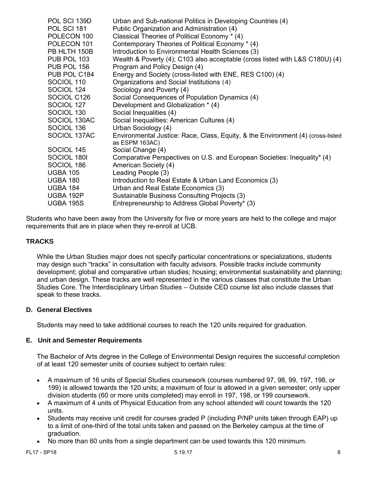| POL SCI 139D<br>POL SCI 181<br>POLECON 100<br>POLECON 101<br>PB HLTH 150B<br>PUB POL 103<br>PUB POL 156<br>PUB POL C184<br>SOCIOL 110<br>SOCIOL 124<br>SOCIOL C126<br>SOCIOL 127<br>SOCIOL 130<br>SOCIOL 130AC<br>SOCIOL 136<br>SOCIOL 137AC | Urban and Sub-national Politics in Developing Countries (4)<br>Public Organization and Administration (4)<br>Classical Theories of Political Economy * (4)<br>Contemporary Theories of Political Economy * (4)<br>Introduction to Environmental Health Sciences (3)<br>Wealth & Poverty (4); C103 also acceptable (cross listed with L&S C180U) (4)<br>Program and Policy Design (4)<br>Energy and Society (cross-listed with ENE, RES C100) (4)<br>Organizations and Social Institutions (4)<br>Sociology and Poverty (4)<br>Social Consequences of Population Dynamics (4)<br>Development and Globalization * (4)<br>Social Inequalities (4)<br>Social Inequalities: American Cultures (4)<br>Urban Sociology (4)<br>Environmental Justice: Race, Class, Equity, & the Environment (4) (cross-listed<br>as ESPM 163AC) |
|----------------------------------------------------------------------------------------------------------------------------------------------------------------------------------------------------------------------------------------------|--------------------------------------------------------------------------------------------------------------------------------------------------------------------------------------------------------------------------------------------------------------------------------------------------------------------------------------------------------------------------------------------------------------------------------------------------------------------------------------------------------------------------------------------------------------------------------------------------------------------------------------------------------------------------------------------------------------------------------------------------------------------------------------------------------------------------|
| SOCIOL 145                                                                                                                                                                                                                                   | Social Change (4)                                                                                                                                                                                                                                                                                                                                                                                                                                                                                                                                                                                                                                                                                                                                                                                                        |
| SOCIOL 1801                                                                                                                                                                                                                                  | Comparative Perspectives on U.S. and European Societies: Inequality* (4)                                                                                                                                                                                                                                                                                                                                                                                                                                                                                                                                                                                                                                                                                                                                                 |
| SOCIOL 186                                                                                                                                                                                                                                   | American Society (4)                                                                                                                                                                                                                                                                                                                                                                                                                                                                                                                                                                                                                                                                                                                                                                                                     |
| <b>UGBA 105</b>                                                                                                                                                                                                                              | Leading People (3)                                                                                                                                                                                                                                                                                                                                                                                                                                                                                                                                                                                                                                                                                                                                                                                                       |
| <b>UGBA 180</b>                                                                                                                                                                                                                              | Introduction to Real Estate & Urban Land Economics (3)                                                                                                                                                                                                                                                                                                                                                                                                                                                                                                                                                                                                                                                                                                                                                                   |
| UGBA 184                                                                                                                                                                                                                                     | Urban and Real Estate Economics (3)                                                                                                                                                                                                                                                                                                                                                                                                                                                                                                                                                                                                                                                                                                                                                                                      |
| UGBA 192P                                                                                                                                                                                                                                    | Sustainable Business Consulting Projects (3)                                                                                                                                                                                                                                                                                                                                                                                                                                                                                                                                                                                                                                                                                                                                                                             |
| <b>UGBA 195S</b>                                                                                                                                                                                                                             | Entrepreneurship to Address Global Poverty* (3)                                                                                                                                                                                                                                                                                                                                                                                                                                                                                                                                                                                                                                                                                                                                                                          |

Students who have been away from the University for five or more years are held to the college and major requirements that are in place when they re-enroll at UCB.

# **TRACKS**

While the Urban Studies major does not specify particular concentrations or specializations, students may design such "tracks" in consultation with faculty advisors. Possible tracks include community development; global and comparative urban studies; housing; environmental sustainability and planning; and urban design. These tracks are well represented in the various classes that constitute the Urban Studies Core. The Interdisciplinary Urban Studies – Outside CED course list also include classes that speak to these tracks.

# **D. General Electives**

Students may need to take additional courses to reach the 120 units required for graduation.

# **E. Unit and Semester Requirements**

The Bachelor of Arts degree in the College of Environmental Design requires the successful completion of at least 120 semester units of courses subject to certain rules:

- A maximum of 16 units of Special Studies coursework (courses numbered 97, 98, 99, 197, 198, or 199) is allowed towards the 120 units; a maximum of four is allowed in a given semester; only upper division students (60 or more units completed) may enroll in 197, 198, or 199 coursework.
- A maximum of 4 units of Physical Education from any school attended will count towards the 120 units.
- Students may receive unit credit for courses graded P (including P/NP units taken through EAP) up to a limit of one-third of the total units taken and passed on the Berkeley campus at the time of graduation.
- No more than 60 units from a single department can be used towards this 120 minimum.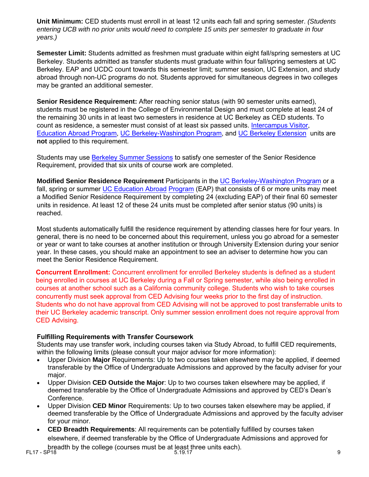**Unit Minimum:** CED students must enroll in at least 12 units each fall and spring semester. *(Students entering UCB with no prior units would need to complete 15 units per semester to graduate in four years.)* 

**Semester Limit:** Students admitted as freshmen must graduate within eight fall/spring semesters at UC Berkeley. Students admitted as transfer students must graduate within four fall/spring semesters at UC Berkeley. EAP and UCDC count towards this semester limit; summer session, UC Extension, and study abroad through non-UC programs do not. Students approved for simultaneous degrees in two colleges may be granted an additional semester.

**Senior Residence Requirement:** After reaching senior status (with 90 semester units earned), students must be registered in the College of Environmental Design and must complete at least 24 of the remaining 30 units in at least two semesters in residence at UC Berkeley as CED students. To count as residence, a semester must consist of at least six passed units. [Intercampus Visitor,](http://ls-advise.berkeley.edu/faq/icv.html) [Education Abroad Program,](http://ls-advise.berkeley.edu/faq/eap.html) UC Berkeley-Washington Program, and UC Berkeley Extension units are **not** applied to this requirement.

Students may use [Berkeley Summer Sessions](http://summer.berkeley.edu/mainsite/index.lasso) to satisfy one semester of the Senior Residence Requirement, provided that six units of course work are completed.

**[Modified Senior Resi](http://ucdc.berkeley.edu/)den[ce Requirement](http://extension.berkeley.edu/)** Participants in the [UC Berkeley-Washington Program](http://learning.berkeley.edu/ucdc/) or a fall, spring or summer UC Education Abroad Program (EAP) that consists of 6 or more units may meet a Modified Senior Residence Requirement by completing 24 (excluding EAP) of their final 60 semester units in residence. At least 12 of these 24 units must be completed after senior status (90 units) is reached.

[Most stud](http://ls-advise.berkeley.edu/faq/eap.html)ents automatically fulfill the residence requirement by attending classes here for [four years.](http://ls-advise.berkeley.edu/faq/eap.html) In general, there is no need to be concerned about this requirement, unless you go abroad for a semester or year or want to take courses at another institution or through University Extension during your senior year. In these cases, you should make an appointment to see an adviser to determine how you can meet the Senior Residence Requirement.

**Concurrent Enrollment:** Concurrent enrollment for enrolled Berkeley students is defined as a student being enrolled in courses at UC Berkeley during a Fall or Spring semester, while also being enrolled in courses at another school such as a California community college. Students who wish to take courses concurrently must seek approval from CED Advising four weeks prior to the first day of instruction. Students who do not have approval from CED Advising will not be approved to post transferrable units to their UC Berkeley academic transcript. Only summer session enrollment does not require approval from CED Advising.

# **Fulfilling Requirements with Transfer Coursework**

Students may use transfer work, including courses taken via Study Abroad, to fulfill CED requirements, within the following limits (please consult your major advisor for more information):

- Upper Division **Major** Requirements: Up to two courses taken elsewhere may be applied, if deemed transferable by the Office of Undergraduate Admissions and approved by the faculty adviser for your major.
- Upper Division **CED Outside the Major**: Up to two courses taken elsewhere may be applied, if deemed transferable by the Office of Undergraduate Admissions and approved by CED's Dean's Conference.
- Upper Division **CED Minor** Requirements: Up to two courses taken elsewhere may be applied, if deemed transferable by the Office of Undergraduate Admissions and approved by the faculty adviser for your minor.
- **CED Breadth Requirements**: All requirements can be potentially fulfilled by courses taken elsewhere, if deemed transferable by the Office of Undergraduate Admissions and approved for

breadth by the college (courses must be at least three units each). 9<br>FL17 - SP18 5.19.17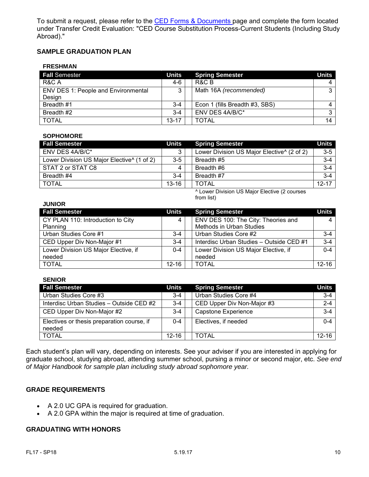To submit a request, please refer to the [CED Forms & Documents](http://ced.berkeley.edu/ced/students/undergraduate-advising/forms-documents/) page and complete the form located under Transfer Credit Evaluation: "CED Course Substitution Process-Current Students (Including Study Abroad)."

# **SAMPLE GRADUATION PLAN**

#### **FRESHMAN**

| <b>Fall Semester</b>                       | <b>Units</b> | <b>Spring Semester</b>         | <b>Units</b> |
|--------------------------------------------|--------------|--------------------------------|--------------|
| R&C A                                      | $4-6$        | R&C B                          | 4            |
| <b>ENV DES 1: People and Environmental</b> |              | Math 16A (recommended)         | $\sim$       |
| Design                                     |              |                                |              |
| Breadth #1                                 | $3 - 4$      | Econ 1 (fills Breadth #3, SBS) |              |
| Breadth #2                                 | $3 - 4$      | ENV DES 4A/B/C*                | ົ            |
| <b>TOTAL</b>                               | $13 - 17$    | TOTAL                          | 14           |

#### **SOPHOMORE**

| <b>Fall Semester</b>                                   | Units     | <b>Spring Semester</b>                                 | Units     |
|--------------------------------------------------------|-----------|--------------------------------------------------------|-----------|
| ENV DES 4A/B/C*                                        | 3         | Lower Division US Major Elective <sup>^</sup> (2 of 2) | $3-5$     |
| Lower Division US Major Elective <sup>^</sup> (1 of 2) | $3-5$     | Breadth #5                                             | $3-4$     |
| STAT 2 or STAT C8                                      |           | Breadth #6                                             | $3-4$     |
| Breadth #4                                             | $3 - 4$   | Breadth #7                                             | $3-4$     |
| I TOTAL                                                | $13 - 16$ | <b>TOTAL</b>                                           | $12 - 17$ |

^ Lower Division US Major Elective (2 courses from list)

| <b>JUNIOR</b>                        |              |                                          |              |
|--------------------------------------|--------------|------------------------------------------|--------------|
| <b>Fall Semester</b>                 | <b>Units</b> | <b>Spring Semester</b>                   | <b>Units</b> |
| CY PLAN 110: Introduction to City    | 4            | ENV DES 100: The City: Theories and      | 4            |
| Planning                             |              | Methods in Urban Studies                 |              |
| Urban Studies Core #1                | $3 - 4$      | Urban Studies Core #2                    | $3 - 4$      |
| CED Upper Div Non-Major #1           | $3 - 4$      | Interdisc Urban Studies - Outside CED #1 | $3 - 4$      |
| Lower Division US Major Elective, if | $0 - 4$      | Lower Division US Major Elective, if     | $0 - 4$      |
| needed                               |              | needed                                   |              |
| <b>TOTAL</b>                         | 12-16        | <b>TOTAL</b>                             | $12 - 16$    |

#### **SENIOR**

| <b>Fall Semester</b>                                 | <b>Units</b> | <b>Spring Semester</b>     | <b>Units</b> |
|------------------------------------------------------|--------------|----------------------------|--------------|
| Urban Studies Core #3                                | $3 - 4$      | Urban Studies Core #4      | $3-4$        |
| Interdisc Urban Studies - Outside CED #2             | $3 - 4$      | CED Upper Div Non-Major #3 | $2 - 4$      |
| CED Upper Div Non-Major #2                           | $3 - 4$      | <b>Capstone Experience</b> | $3-4$        |
| Electives or thesis preparation course, if<br>needed | $0 - 4$      | Electives, if needed       | $0 - 4$      |
| <b>TOTAL</b>                                         | $12 - 16$    | TOTAL                      | 12-16        |

Each student's plan will vary, depending on interests. See your adviser if you are interested in applying for graduate school, studying abroad, attending summer school, pursing a minor or second major, etc. *See end of Major Handbook for sample plan including study abroad sophomore year.*

#### **GRADE REQUIREMENTS**

- A 2.0 UC GPA is required for graduation.
- A 2.0 GPA within the major is required at time of graduation.

# **GRADUATING WITH HONORS**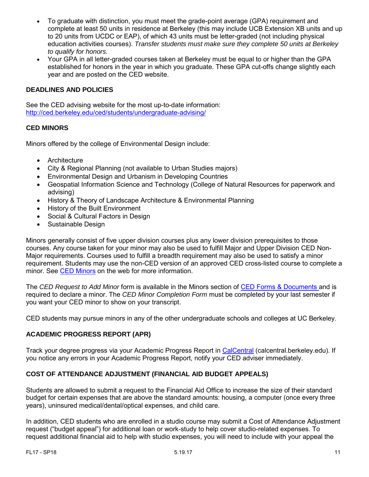- To graduate with distinction, you must meet the grade-point average (GPA) requirement and complete at least 50 units in residence at Berkeley (this may include UCB Extension XB units and up to 20 units from UCDC or EAP), of which 43 units must be letter-graded (not including physical education activities courses). *Transfer students must make sure they complete 50 units at Berkeley to qualify for honors.*
- Your GPA in all letter-graded courses taken at Berkeley must be equal to or higher than the GPA established for honors in the year in which you graduate. These GPA cut-offs change slightly each year and are posted on the CED website.

# **DEADLINES AND POLICIES**

See the CED advising website for the most up-to-date information: <http://ced.berkeley.edu/ced/students/undergraduate-advising/>

#### **CED MINORS**

Minors offered by the college of Environmental Design include:

- [Architecture](http://arch.ced.berkeley.edu/programs/undergraduate/minors/arch)
- [City & Regional Planning](http://dcrp.ced.berkeley.edu/programs/undergraduate/minor_cityplanning) (not available to Urban Studies majors)
- [Environmental Design and Urbanism in Developing Countries](http://arch.ced.berkeley.edu/programs/undergraduate/minors/envdesigndevcountries)
- [Geospatial Information Science and Technology](http://gis.berkeley.edu/students/minor) (College of Natural Resources for paperwork and advising)
- [History & Theory of Landscape Architecture & Environmental Planning](http://laep.ced.berkeley.edu/programs/undergraduate/minors/historytheorylaep)
- [History of the Built Environment](http://arch.ced.berkeley.edu/programs/undergraduate/minors/historybuiltenv)
- [Social & Cultural Factors in Design](http://arch.ced.berkeley.edu/programs/undergraduate/minors/socialcultfactors)
- [Sustainable Design](http://laep.ced.berkeley.edu/programs/undergraduate/minors/sustainabledesign)

Minors generally consist of five upper division courses plus any lower division prerequisites to those courses. Any course taken for your minor may also be used to fulfill Major and Upper Division CED Non-Major requirements. Courses used to fulfill a breadth requirement may also be used to satisfy a minor requirement. Students may use the non-CED version of an approved CED cross-listed course to complete a minor. See [CED Minors](http://www.ced.berkeley.edu/advising/continuingstudents/degreereqs#minor) on the web for more information.

The *CED Request to Add Minor* form is available in the Minors section of [CED Forms & Documents](http://ced.berkeley.edu/ced/students/undergraduate-advising/forms-documents/) and is required to declare a minor. The *CED Minor Completion Form* must be completed by your last semester if you want your CED minor to show on your transcript.

CED students may pursue minors in any of the other undergraduate schools and colleges at UC Berkeley.

# **ACADEMIC PROGRESS REPORT (APR)**

Track your degree progress via your Academic Progress Report in CalCentral (calcentral.berkeley.edu). If you notice any errors in your Academic Progress Report, notify your CED adviser immediately.

# **COST OF ATTENDANCE ADJUSTMENT (FINANCIAL AID BUDGET APPEALS)**

Students are allowed to submit a request to the Financial Aid Office to increase the size of their standard budget for certain expenses that are above the standard amounts: housing, a computer (once every three years), uninsured medical/dental/optical expenses, and child care.

In addition, CED students who are enrolled in a studio course may submit a Cost of Attendance Adjustment request ("budget appeal") for additional loan or work-study to help cover studio-related expenses. To request additional financial aid to help with studio expenses, you will need to include with your appeal the